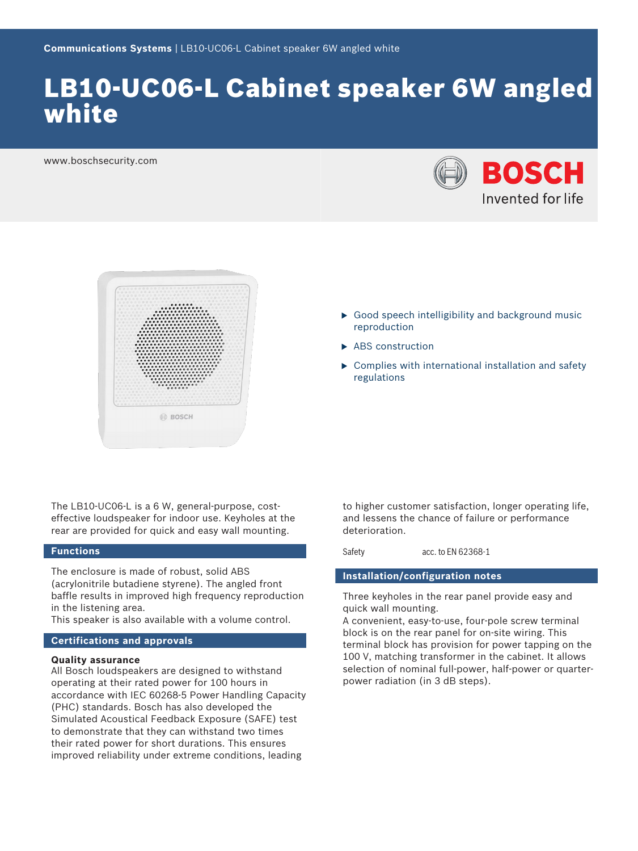# LB10-UC06-L Cabinet speaker 6W angled white

www.boschsecurity.com





- $\triangleright$  Good speech intelligibility and background music reproduction
- $\blacktriangleright$  ABS construction
- $\triangleright$  Complies with international installation and safety regulations

The LB10-UC06-L is a 6 W, general-purpose, costeffective loudspeaker for indoor use. Keyholes at the rear are provided for quick and easy wall mounting.

### **Functions**

The enclosure is made of robust, solid ABS (acrylonitrile butadiene styrene). The angled front baffle results in improved high frequency reproduction in the listening area.

This speaker is also available with a volume control.

#### **Certifications and approvals**

#### **Quality assurance**

All Bosch loudspeakers are designed to withstand operating at their rated power for 100 hours in accordance with IEC 60268-5 Power Handling Capacity (PHC) standards. Bosch has also developed the Simulated Acoustical Feedback Exposure (SAFE) test to demonstrate that they can withstand two times their rated power for short durations. This ensures improved reliability under extreme conditions, leading

to higher customer satisfaction, longer operating life, and lessens the chance of failure or performance deterioration.

Safety acc. to EN 62368-1

#### **Installation/configuration notes**

Three keyholes in the rear panel provide easy and quick wall mounting.

A convenient, easy-to-use, four-pole screw terminal block is on the rear panel for on‑site wiring. This terminal block has provision for power tapping on the 100 V, matching transformer in the cabinet. It allows selection of nominal full-power, half-power or quarterpower radiation (in 3 dB steps).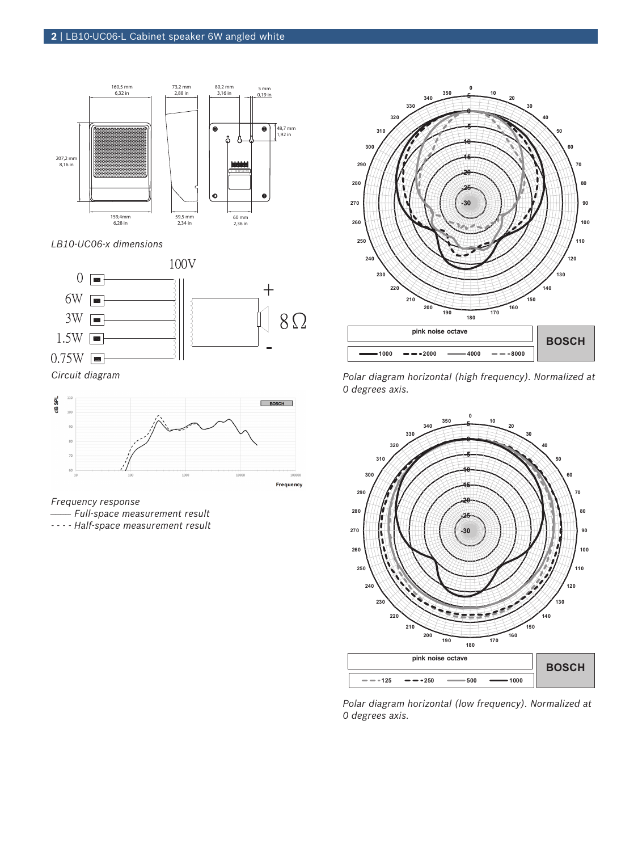

*LB10-UC06-x dimensions*





*Frequency response*

- *\_\_\_\_\_\_\_\_ Full-space measurement result*
- *- - Half-space measurement result*



*Polar diagram horizontal (high frequency). Normalized at 0 degrees axis.*



*Polar diagram horizontal (low frequency). Normalized at 0 degrees axis.*